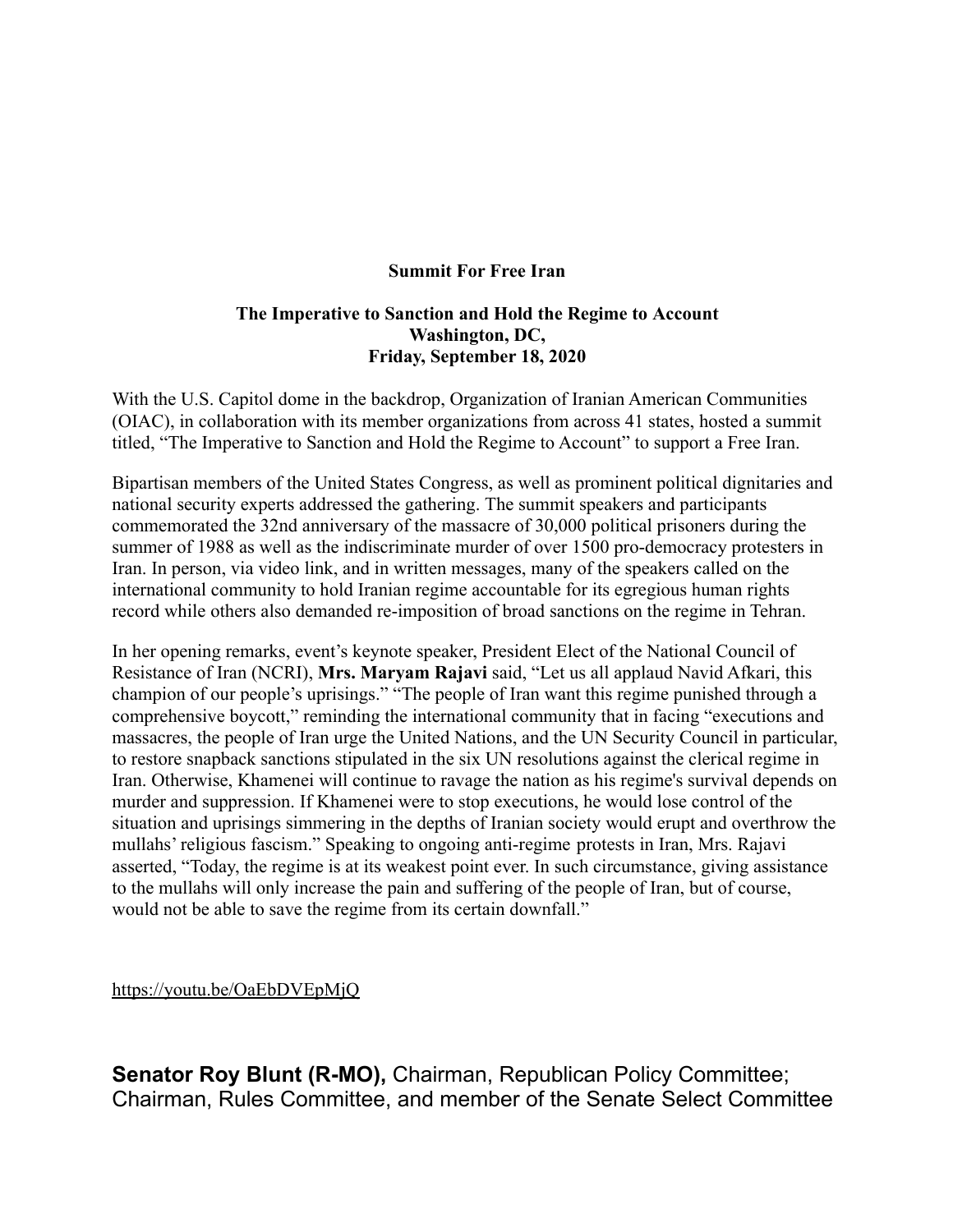### **Summit For Free Iran**

### **The Imperative to Sanction and Hold the Regime to Account Washington, DC, Friday, September 18, 2020**

With the U.S. Capitol dome in the backdrop, Organization of Iranian American Communities (OIAC), in collaboration with its member organizations from across 41 states, hosted a summit titled, "The Imperative to Sanction and Hold the Regime to Account" to support a Free Iran.

Bipartisan members of the United States Congress, as well as prominent political dignitaries and national security experts addressed the gathering. The summit speakers and participants commemorated the 32nd anniversary of the massacre of 30,000 political prisoners during the summer of 1988 as well as the indiscriminate murder of over 1500 pro-democracy protesters in Iran. In person, via video link, and in written messages, many of the speakers called on the international community to hold Iranian regime accountable for its egregious human rights record while others also demanded re-imposition of broad sanctions on the regime in Tehran.

In her opening remarks, event's keynote speaker, President Elect of the National Council of Resistance of Iran (NCRI), **Mrs. Maryam Rajavi** said, "Let us all applaud Navid Afkari, this champion of our people's uprisings." "The people of Iran want this regime punished through a comprehensive boycott," reminding the international community that in facing "executions and massacres, the people of Iran urge the United Nations, and the UN Security Council in particular, to restore snapback sanctions stipulated in the six UN resolutions against the clerical regime in Iran. Otherwise, Khamenei will continue to ravage the nation as his regime's survival depends on murder and suppression. If Khamenei were to stop executions, he would lose control of the situation and uprisings simmering in the depths of Iranian society would erupt and overthrow the mullahs' religious fascism." Speaking to ongoing anti-regime protests in Iran, Mrs. Rajavi asserted, "Today, the regime is at its weakest point ever. In such circumstance, giving assistance to the mullahs will only increase the pain and suffering of the people of Iran, but of course, would not be able to save the regime from its certain downfall."

<https://youtu.be/OaEbDVEpMjQ>

**Senator Roy Blunt (R-MO),** Chairman, Republican Policy Committee; Chairman, Rules Committee, and member of the Senate Select Committee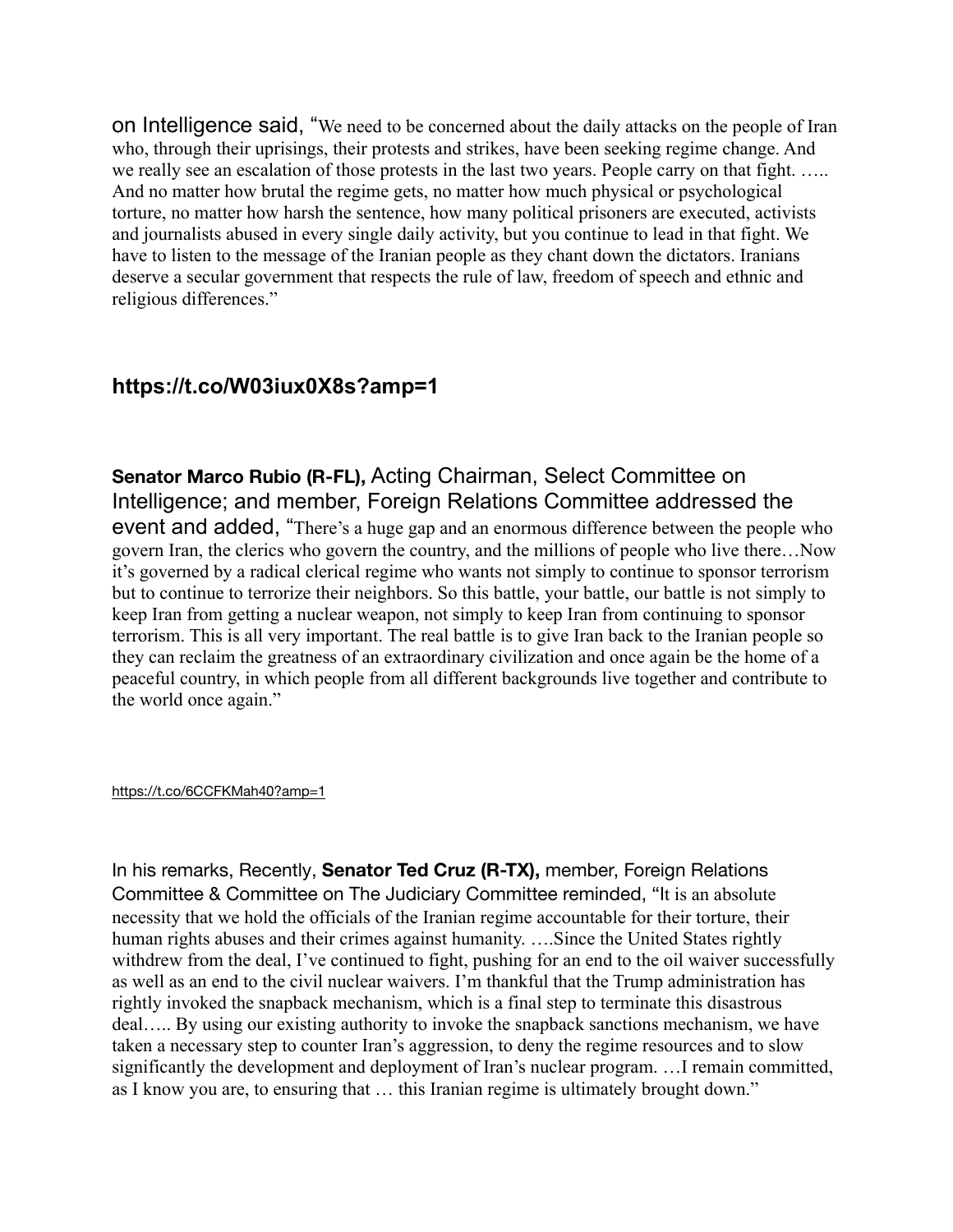on Intelligence said, "We need to be concerned about the daily attacks on the people of Iran who, through their uprisings, their protests and strikes, have been seeking regime change. And we really see an escalation of those protests in the last two years. People carry on that fight. .... And no matter how brutal the regime gets, no matter how much physical or psychological torture, no matter how harsh the sentence, how many political prisoners are executed, activists and journalists abused in every single daily activity, but you continue to lead in that fight. We have to listen to the message of the Iranian people as they chant down the dictators. Iranians deserve a secular government that respects the rule of law, freedom of speech and ethnic and religious differences."

# **https://t.co/W03iux0X8s?amp=1**

**Senator Marco Rubio (R-FL),** Acting Chairman, Select Committee on Intelligence; and member, Foreign Relations Committee addressed the event and added, "There's a huge gap and an enormous difference between the people who govern Iran, the clerics who govern the country, and the millions of people who live there…Now it's governed by a radical clerical regime who wants not simply to continue to sponsor terrorism but to continue to terrorize their neighbors. So this battle, your battle, our battle is not simply to keep Iran from getting a nuclear weapon, not simply to keep Iran from continuing to sponsor terrorism. This is all very important. The real battle is to give Iran back to the Iranian people so they can reclaim the greatness of an extraordinary civilization and once again be the home of a peaceful country, in which people from all different backgrounds live together and contribute to the world once again."

#### <https://t.co/6CCFKMah40?amp=1>

In his remarks, Recently, **Senator Ted Cruz (R-TX),** member, Foreign Relations Committee & Committee on The Judiciary Committee reminded, "It is an absolute necessity that we hold the officials of the Iranian regime accountable for their torture, their human rights abuses and their crimes against humanity. ....Since the United States rightly withdrew from the deal, I've continued to fight, pushing for an end to the oil waiver successfully as well as an end to the civil nuclear waivers. I'm thankful that the Trump administration has rightly invoked the snapback mechanism, which is a final step to terminate this disastrous deal….. By using our existing authority to invoke the snapback sanctions mechanism, we have taken a necessary step to counter Iran's aggression, to deny the regime resources and to slow significantly the development and deployment of Iran's nuclear program. …I remain committed, as I know you are, to ensuring that … this Iranian regime is ultimately brought down."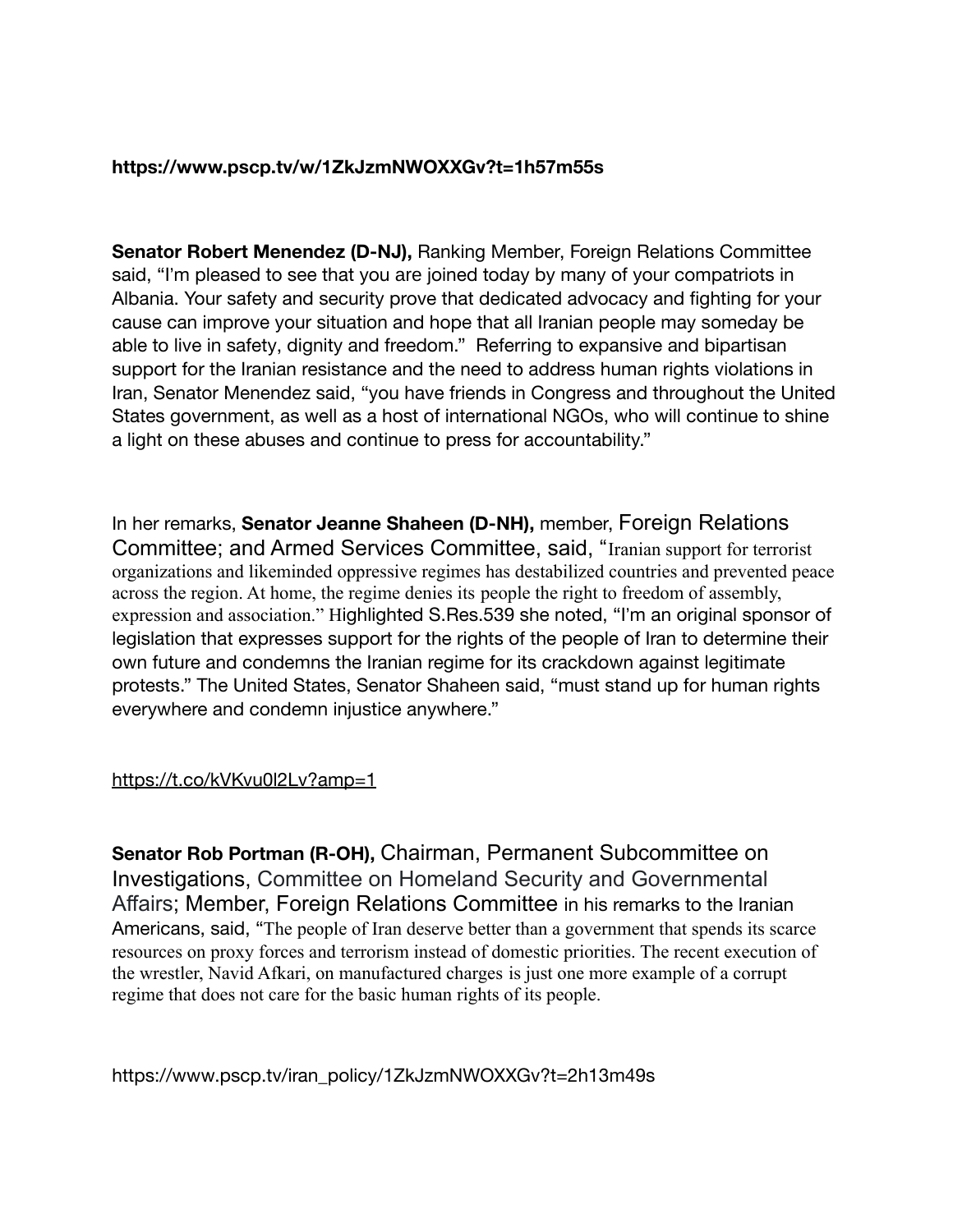# **https://www.pscp.tv/w/1ZkJzmNWOXXGv?t=1h57m55s**

**Senator Robert Menendez (D-NJ),** Ranking Member, Foreign Relations Committee said, "I'm pleased to see that you are joined today by many of your compatriots in Albania. Your safety and security prove that dedicated advocacy and fighting for your cause can improve your situation and hope that all Iranian people may someday be able to live in safety, dignity and freedom." Referring to expansive and bipartisan support for the Iranian resistance and the need to address human rights violations in Iran, Senator Menendez said, "you have friends in Congress and throughout the United States government, as well as a host of international NGOs, who will continue to shine a light on these abuses and continue to press for accountability."

In her remarks, **Senator Jeanne Shaheen (D-NH),** member, Foreign Relations Committee; and Armed Services Committee, said, "Iranian support for terrorist organizations and likeminded oppressive regimes has destabilized countries and prevented peace across the region. At home, the regime denies its people the right to freedom of assembly, expression and association." Highlighted S.Res.539 she noted, "I'm an original sponsor of legislation that expresses support for the rights of the people of Iran to determine their own future and condemns the Iranian regime for its crackdown against legitimate protests." The United States, Senator Shaheen said, "must stand up for human rights everywhere and condemn injustice anywhere."

# <https://t.co/kVKvu0l2Lv?amp=1>

**Senator Rob Portman (R-OH),** Chairman, Permanent Subcommittee on Investigations, Committee on Homeland Security and Governmental Affairs; Member, Foreign Relations Committee in his remarks to the Iranian Americans, said, "The people of Iran deserve better than a government that spends its scarce resources on proxy forces and terrorism instead of domestic priorities. The recent execution of the wrestler, Navid Afkari, on manufactured charges is just one more example of a corrupt regime that does not care for the basic human rights of its people.

https://www.pscp.tv/iran\_policy/1ZkJzmNWOXXGv?t=2h13m49s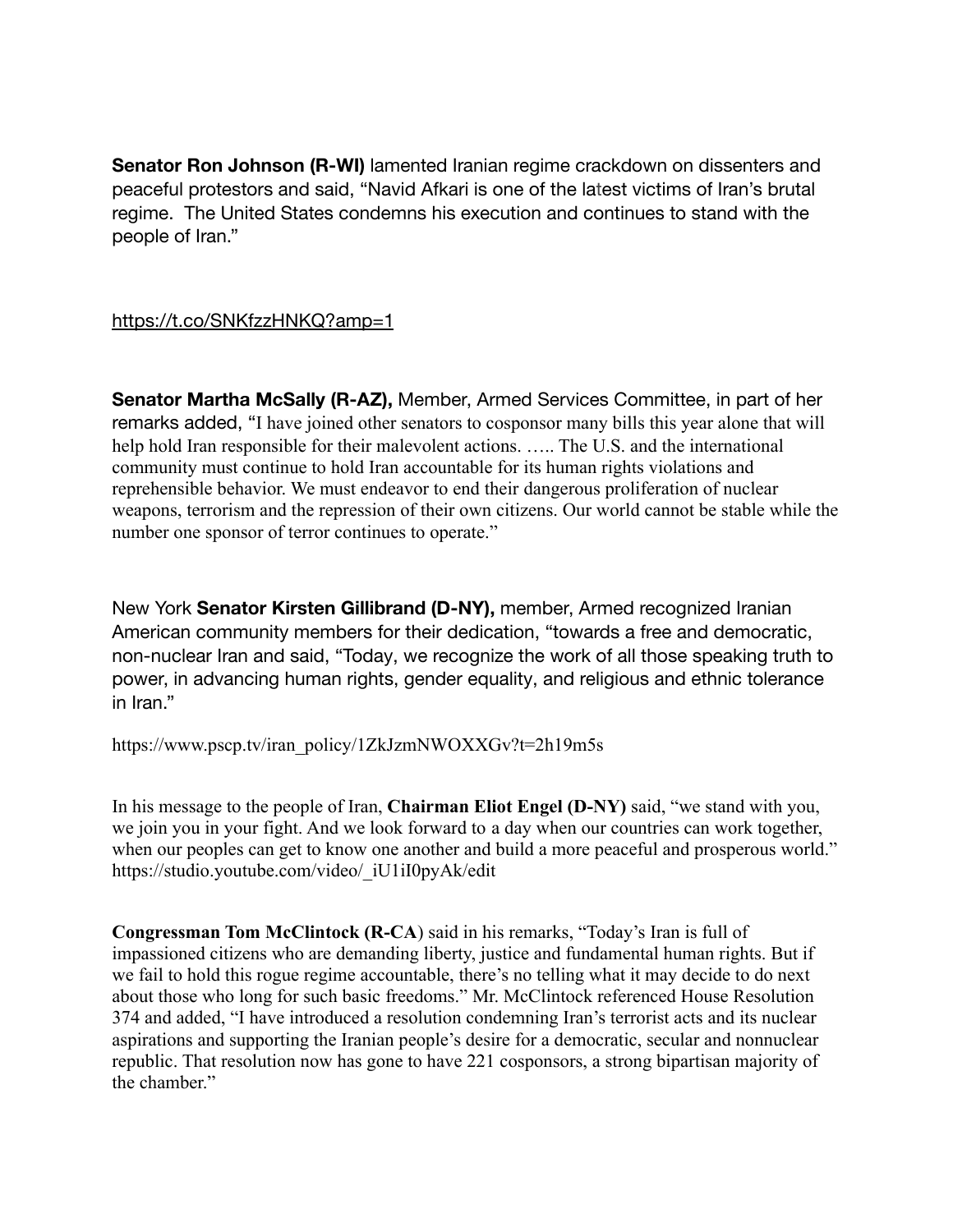**Senator Ron Johnson (R-WI)** lamented Iranian regime crackdown on dissenters and peaceful protestors and said, "Navid Afkari is one of the latest victims of Iran's brutal regime. The United States condemns his execution and continues to stand with the people of Iran."

<https://t.co/SNKfzzHNKQ?amp=1>

**Senator Martha McSally (R-AZ),** Member, Armed Services Committee, in part of her remarks added, "I have joined other senators to cosponsor many bills this year alone that will help hold Iran responsible for their malevolent actions. ….. The U.S. and the international community must continue to hold Iran accountable for its human rights violations and reprehensible behavior. We must endeavor to end their dangerous proliferation of nuclear weapons, terrorism and the repression of their own citizens. Our world cannot be stable while the number one sponsor of terror continues to operate."

New York **Senator Kirsten Gillibrand (D-NY),** member, Armed recognized Iranian American community members for their dedication, "towards a free and democratic, non-nuclear Iran and said, "Today, we recognize the work of all those speaking truth to power, in advancing human rights, gender equality, and religious and ethnic tolerance in Iran."

https://www.pscp.tv/iran\_policy/1ZkJzmNWOXXGv?t=2h19m5s

In his message to the people of Iran, **Chairman Eliot Engel (D-NY)** said, "we stand with you, we join you in your fight. And we look forward to a day when our countries can work together, when our peoples can get to know one another and build a more peaceful and prosperous world." https://studio.youtube.com/video/\_iU1iI0pyAk/edit

**Congressman Tom McClintock (R-CA**) said in his remarks, "Today's Iran is full of impassioned citizens who are demanding liberty, justice and fundamental human rights. But if we fail to hold this rogue regime accountable, there's no telling what it may decide to do next about those who long for such basic freedoms." Mr. McClintock referenced House Resolution 374 and added, "I have introduced a resolution condemning Iran's terrorist acts and its nuclear aspirations and supporting the Iranian people's desire for a democratic, secular and nonnuclear republic. That resolution now has gone to have 221 cosponsors, a strong bipartisan majority of the chamber."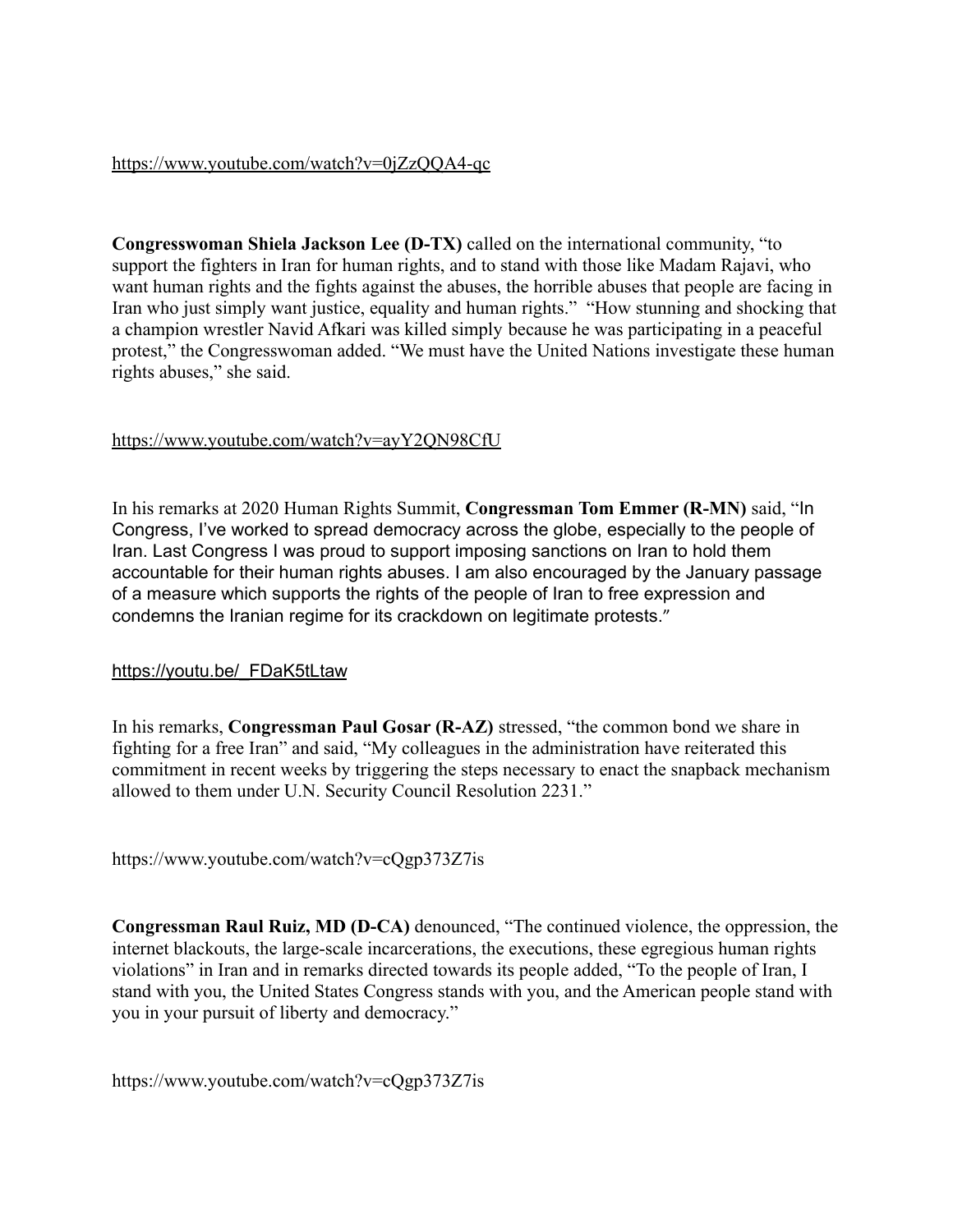#### <https://www.youtube.com/watch?v=0jZzQQA4-qc>

**Congresswoman Shiela Jackson Lee (D-TX)** called on the international community, "to support the fighters in Iran for human rights, and to stand with those like Madam Rajavi, who want human rights and the fights against the abuses, the horrible abuses that people are facing in Iran who just simply want justice, equality and human rights." "How stunning and shocking that a champion wrestler Navid Afkari was killed simply because he was participating in a peaceful protest," the Congresswoman added. "We must have the United Nations investigate these human rights abuses," she said.

### <https://www.youtube.com/watch?v=ayY2QN98CfU>

In his remarks at 2020 Human Rights Summit, **Congressman Tom Emmer (R-MN)** said, "In Congress, I've worked to spread democracy across the globe, especially to the people of Iran. Last Congress I was proud to support imposing sanctions on Iran to hold them accountable for their human rights abuses. I am also encouraged by the January passage of a measure which supports the rights of the people of Iran to free expression and condemns the Iranian regime for its crackdown on legitimate protests."

# [https://youtu.be/\\_FDaK5tLtaw](https://youtu.be/_FDaK5tLtaw)

In his remarks, **Congressman Paul Gosar (R-AZ)** stressed, "the common bond we share in fighting for a free Iran" and said, "My colleagues in the administration have reiterated this commitment in recent weeks by triggering the steps necessary to enact the snapback mechanism allowed to them under U.N. Security Council Resolution 2231."

https://www.youtube.com/watch?v=cQgp373Z7is

**Congressman Raul Ruiz, MD (D-CA)** denounced, "The continued violence, the oppression, the internet blackouts, the large-scale incarcerations, the executions, these egregious human rights violations" in Iran and in remarks directed towards its people added, "To the people of Iran, I stand with you, the United States Congress stands with you, and the American people stand with you in your pursuit of liberty and democracy."

https://www.youtube.com/watch?v=cQgp373Z7is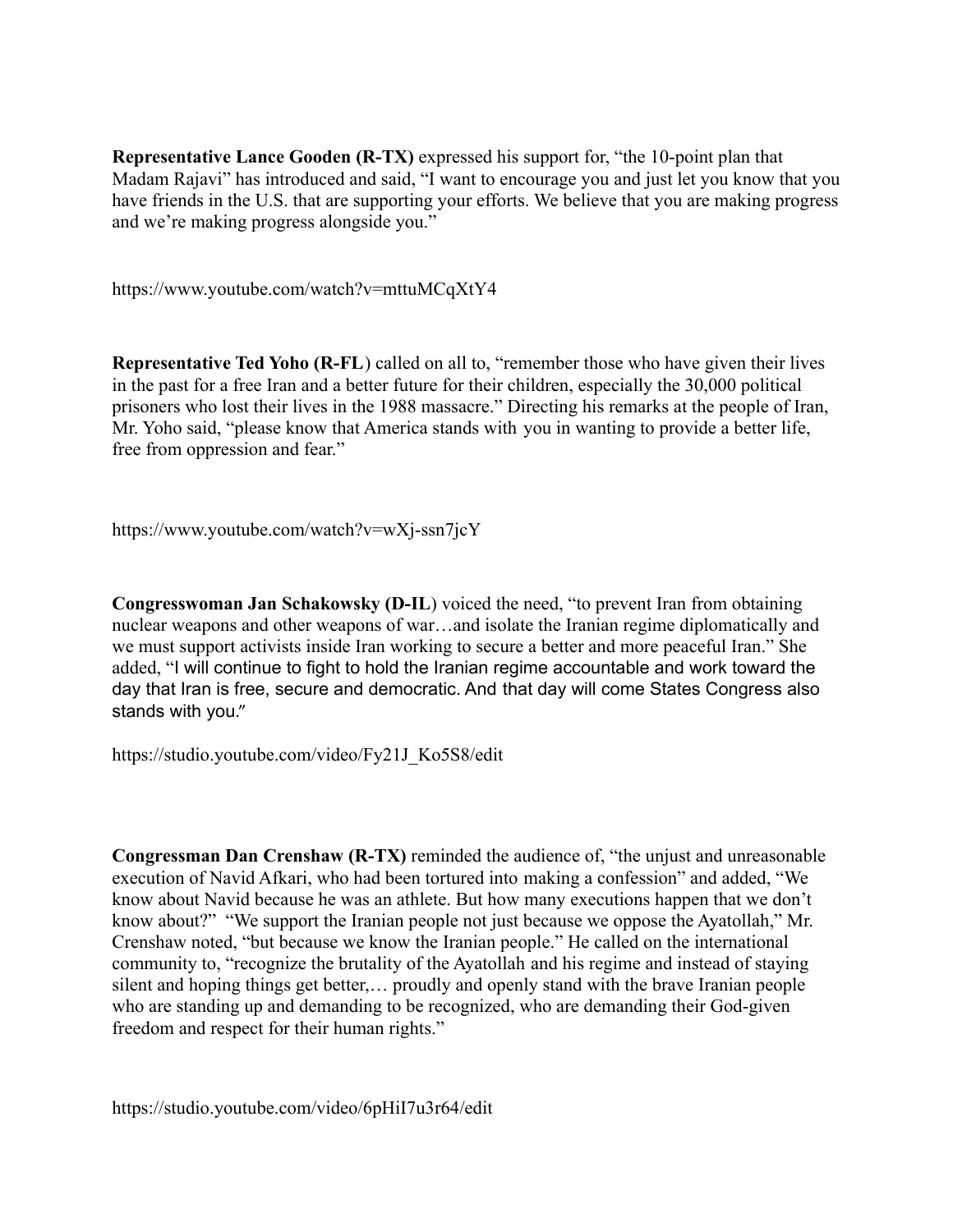**Representative Lance Gooden (R-TX)** expressed his support for, "the 10-point plan that Madam Rajavi" has introduced and said, "I want to encourage you and just let you know that you have friends in the U.S. that are supporting your efforts. We believe that you are making progress and we're making progress alongside you."

https://www.youtube.com/watch?v=mttuMCqXtY4

**Representative Ted Yoho (R-FL)** called on all to, "remember those who have given their lives in the past for a free Iran and a better future for their children, especially the 30,000 political prisoners who lost their lives in the 1988 massacre." Directing his remarks at the people of Iran, Mr. Yoho said, "please know that America stands with you in wanting to provide a better life, free from oppression and fear."

https://www.youtube.com/watch?v=wXj-ssn7jcY

**Congresswoman Jan Schakowsky (D-IL**) voiced the need, "to prevent Iran from obtaining nuclear weapons and other weapons of war…and isolate the Iranian regime diplomatically and we must support activists inside Iran working to secure a better and more peaceful Iran." She added, "I will continue to fight to hold the Iranian regime accountable and work toward the day that Iran is free, secure and democratic. And that day will come States Congress also stands with you."

https://studio.youtube.com/video/Fy21J\_Ko5S8/edit

**Congressman Dan Crenshaw (R-TX)** reminded the audience of, "the unjust and unreasonable execution of Navid Afkari, who had been tortured into making a confession" and added, "We know about Navid because he was an athlete. But how many executions happen that we don't know about?" "We support the Iranian people not just because we oppose the Ayatollah," Mr. Crenshaw noted, "but because we know the Iranian people." He called on the international community to, "recognize the brutality of the Ayatollah and his regime and instead of staying silent and hoping things get better,… proudly and openly stand with the brave Iranian people who are standing up and demanding to be recognized, who are demanding their God-given freedom and respect for their human rights."

https://studio.youtube.com/video/6pHiI7u3r64/edit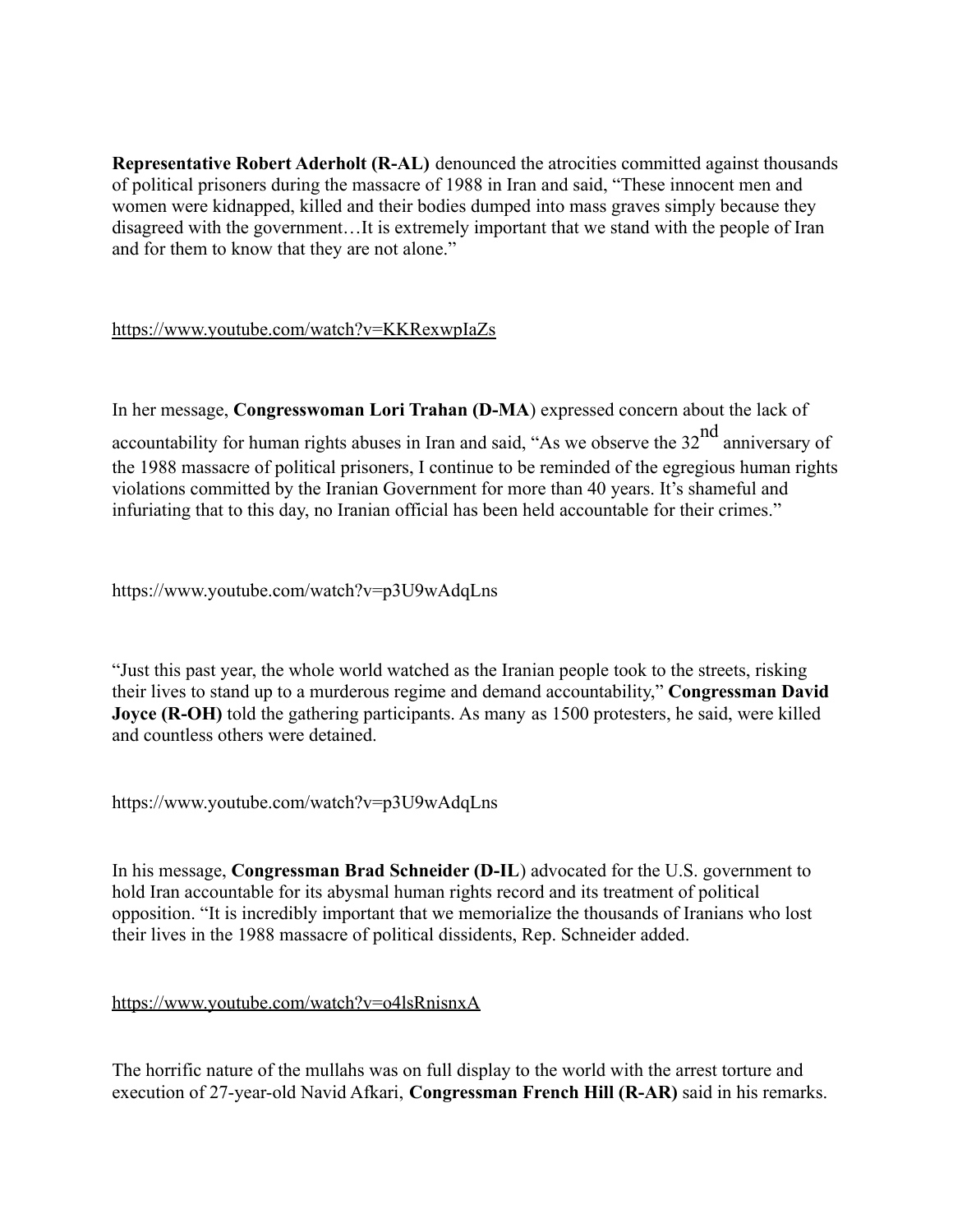**Representative Robert Aderholt (R-AL)** denounced the atrocities committed against thousands of political prisoners during the massacre of 1988 in Iran and said, "These innocent men and women were kidnapped, killed and their bodies dumped into mass graves simply because they disagreed with the government…It is extremely important that we stand with the people of Iran and for them to know that they are not alone."

<https://www.youtube.com/watch?v=KKRexwpIaZs>

In her message, **Congresswoman Lori Trahan (D-MA**) expressed concern about the lack of accountability for human rights abuses in Iran and said, "As we observe the  $32<sup>nd</sup>$  anniversary of the 1988 massacre of political prisoners, I continue to be reminded of the egregious human rights violations committed by the Iranian Government for more than 40 years. It's shameful and infuriating that to this day, no Iranian official has been held accountable for their crimes."

https://www.youtube.com/watch?v=p3U9wAdqLns

"Just this past year, the whole world watched as the Iranian people took to the streets, risking their lives to stand up to a murderous regime and demand accountability," **Congressman David Joyce (R-OH)** told the gathering participants. As many as 1500 protesters, he said, were killed and countless others were detained.

https://www.youtube.com/watch?v=p3U9wAdqLns

In his message, **Congressman Brad Schneider (D-IL**) advocated for the U.S. government to hold Iran accountable for its abysmal human rights record and its treatment of political opposition. "It is incredibly important that we memorialize the thousands of Iranians who lost their lives in the 1988 massacre of political dissidents, Rep. Schneider added.

# <https://www.youtube.com/watch?v=o4lsRnisnxA>

The horrific nature of the mullahs was on full display to the world with the arrest torture and execution of 27-year-old Navid Afkari, **Congressman French Hill (R-AR)** said in his remarks.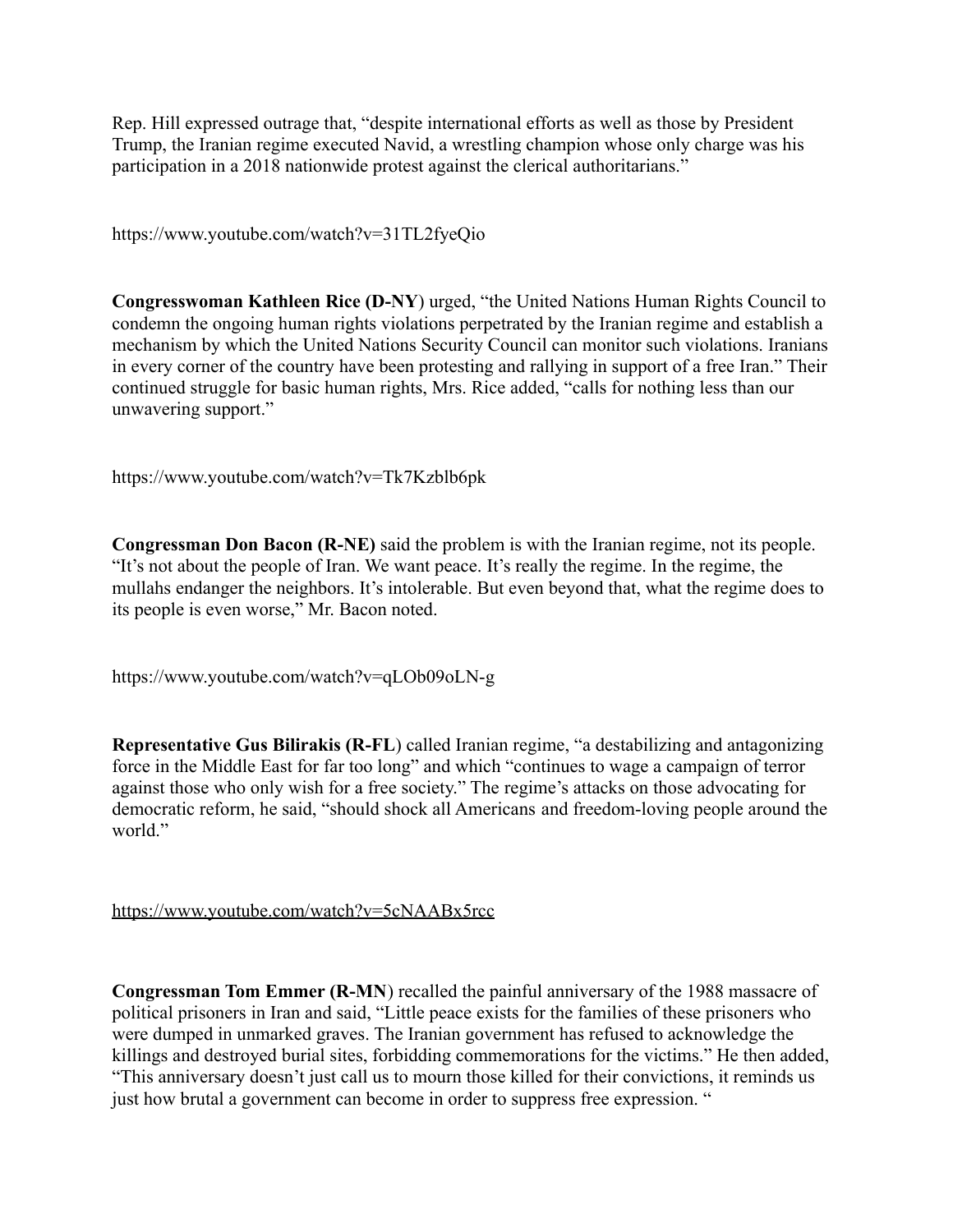Rep. Hill expressed outrage that, "despite international efforts as well as those by President Trump, the Iranian regime executed Navid, a wrestling champion whose only charge was his participation in a 2018 nationwide protest against the clerical authoritarians."

https://www.youtube.com/watch?v=31TL2fyeQio

**Congresswoman Kathleen Rice (D-NY**) urged, "the United Nations Human Rights Council to condemn the ongoing human rights violations perpetrated by the Iranian regime and establish a mechanism by which the United Nations Security Council can monitor such violations. Iranians in every corner of the country have been protesting and rallying in support of a free Iran." Their continued struggle for basic human rights, Mrs. Rice added, "calls for nothing less than our unwavering support."

https://www.youtube.com/watch?v=Tk7Kzblb6pk

**Congressman Don Bacon (R-NE)** said the problem is with the Iranian regime, not its people. "It's not about the people of Iran. We want peace. It's really the regime. In the regime, the mullahs endanger the neighbors. It's intolerable. But even beyond that, what the regime does to its people is even worse," Mr. Bacon noted.

https://www.youtube.com/watch?v=qLOb09oLN-g

**Representative Gus Bilirakis (R-FL**) called Iranian regime, "a destabilizing and antagonizing force in the Middle East for far too long" and which "continues to wage a campaign of terror against those who only wish for a free society." The regime's attacks on those advocating for democratic reform, he said, "should shock all Americans and freedom-loving people around the world."

<https://www.youtube.com/watch?v=5cNAABx5rcc>

**Congressman Tom Emmer (R-MN**) recalled the painful anniversary of the 1988 massacre of political prisoners in Iran and said, "Little peace exists for the families of these prisoners who were dumped in unmarked graves. The Iranian government has refused to acknowledge the killings and destroyed burial sites, forbidding commemorations for the victims." He then added, "This anniversary doesn't just call us to mourn those killed for their convictions, it reminds us just how brutal a government can become in order to suppress free expression. "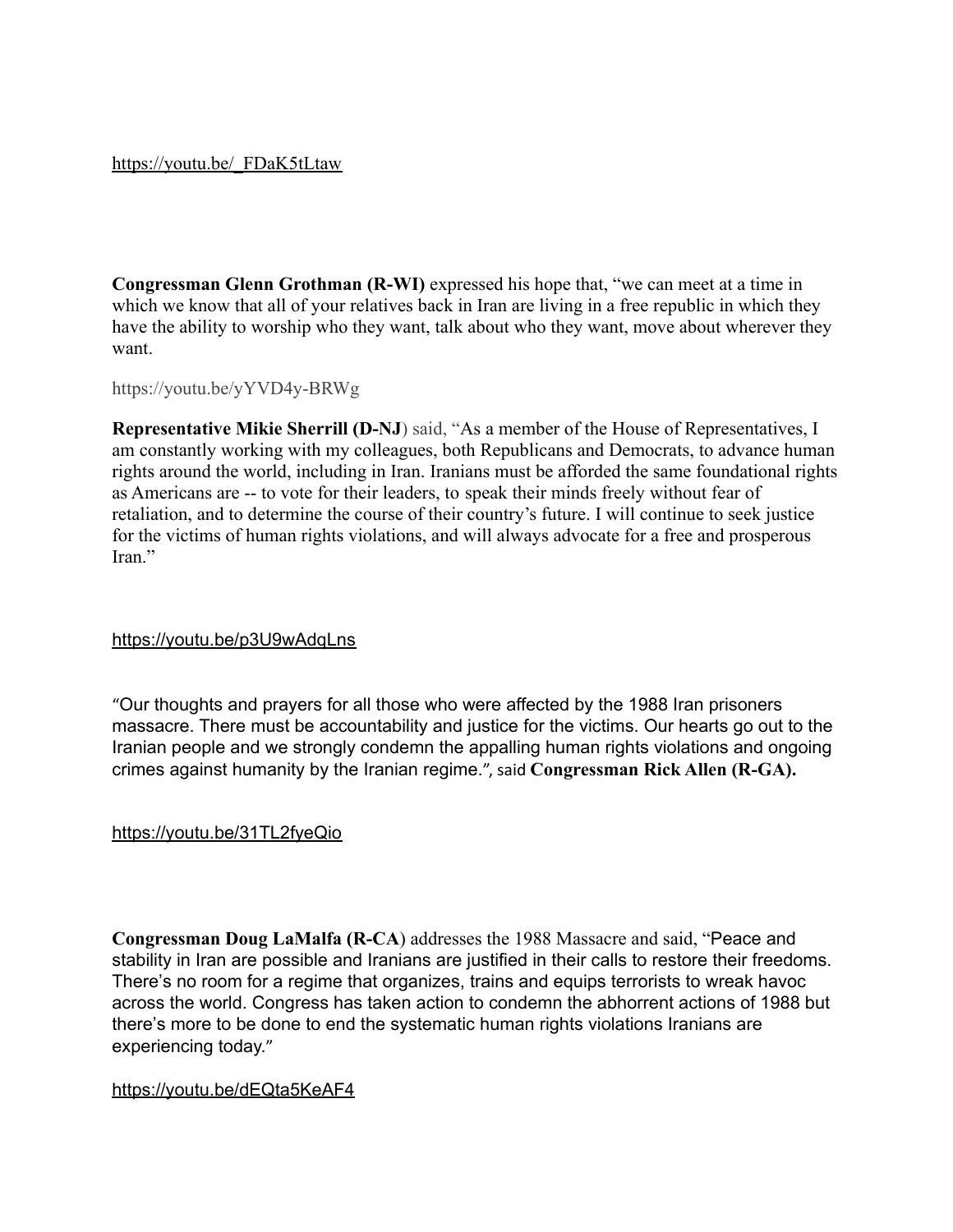#### [https://youtu.be/\\_FDaK5tLtaw](https://youtu.be/_FDaK5tLtaw)

**Congressman Glenn Grothman (R-WI)** expressed his hope that, "we can meet at a time in which we know that all of your relatives back in Iran are living in a free republic in which they have the ability to worship who they want, talk about who they want, move about wherever they want.

https://youtu.be/yYVD4y-BRWg

**Representative Mikie Sherrill (D-NJ**) said, "As a member of the House of Representatives, I am constantly working with my colleagues, both Republicans and Democrats, to advance human rights around the world, including in Iran. Iranians must be afforded the same foundational rights as Americans are -- to vote for their leaders, to speak their minds freely without fear of retaliation, and to determine the course of their country's future. I will continue to seek justice for the victims of human rights violations, and will always advocate for a free and prosperous Iran<sup>"</sup>

#### <https://youtu.be/p3U9wAdqLns>

"Our thoughts and prayers for all those who were affected by the 1988 Iran prisoners massacre. There must be accountability and justice for the victims. Our hearts go out to the Iranian people and we strongly condemn the appalling human rights violations and ongoing crimes against humanity by the Iranian regime.", said **Congressman Rick Allen (R-GA).**

#### <https://youtu.be/31TL2fyeQio>

**Congressman Doug LaMalfa (R-CA**) addresses the 1988 Massacre and said, "Peace and stability in Iran are possible and Iranians are justified in their calls to restore their freedoms. There's no room for a regime that organizes, trains and equips terrorists to wreak havoc across the world. Congress has taken action to condemn the abhorrent actions of 1988 but there's more to be done to end the systematic human rights violations Iranians are experiencing today."

#### <https://youtu.be/dEQta5KeAF4>